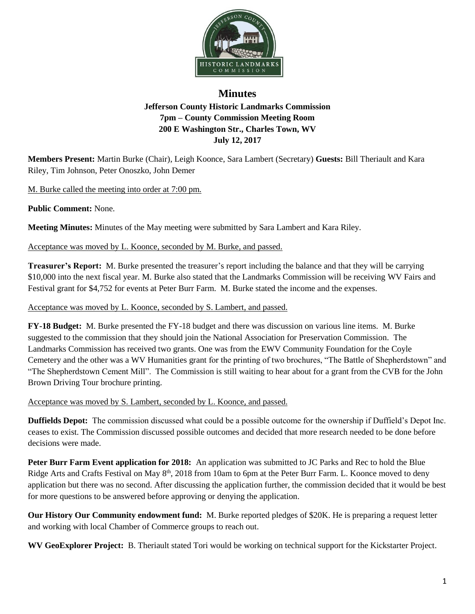

## **Minutes Jefferson County Historic Landmarks Commission 7pm – County Commission Meeting Room 200 E Washington Str., Charles Town, WV July 12, 2017**

**Members Present:** Martin Burke (Chair), Leigh Koonce, Sara Lambert (Secretary) **Guests:** Bill Theriault and Kara Riley, Tim Johnson, Peter Onoszko, John Demer

M. Burke called the meeting into order at 7:00 pm.

**Public Comment:** None.

**Meeting Minutes:** Minutes of the May meeting were submitted by Sara Lambert and Kara Riley.

## Acceptance was moved by L. Koonce, seconded by M. Burke, and passed.

**Treasurer's Report:** M. Burke presented the treasurer's report including the balance and that they will be carrying \$10,000 into the next fiscal year. M. Burke also stated that the Landmarks Commission will be receiving WV Fairs and Festival grant for \$4,752 for events at Peter Burr Farm. M. Burke stated the income and the expenses.

Acceptance was moved by L. Koonce, seconded by S. Lambert, and passed.

**FY-18 Budget:** M. Burke presented the FY-18 budget and there was discussion on various line items. M. Burke suggested to the commission that they should join the National Association for Preservation Commission. The Landmarks Commission has received two grants. One was from the EWV Community Foundation for the Coyle Cemetery and the other was a WV Humanities grant for the printing of two brochures, "The Battle of Shepherdstown" and "The Shepherdstown Cement Mill". The Commission is still waiting to hear about for a grant from the CVB for the John Brown Driving Tour brochure printing.

Acceptance was moved by S. Lambert, seconded by L. Koonce, and passed.

**Duffields Depot:** The commission discussed what could be a possible outcome for the ownership if Duffield's Depot Inc. ceases to exist. The Commission discussed possible outcomes and decided that more research needed to be done before decisions were made.

**Peter Burr Farm Event application for 2018:** An application was submitted to JC Parks and Rec to hold the Blue Ridge Arts and Crafts Festival on May 8<sup>th</sup>, 2018 from 10am to 6pm at the Peter Burr Farm. L. Koonce moved to deny application but there was no second. After discussing the application further, the commission decided that it would be best for more questions to be answered before approving or denying the application.

**Our History Our Community endowment fund:** M. Burke reported pledges of \$20K. He is preparing a request letter and working with local Chamber of Commerce groups to reach out.

**WV GeoExplorer Project:** B. Theriault stated Tori would be working on technical support for the Kickstarter Project.